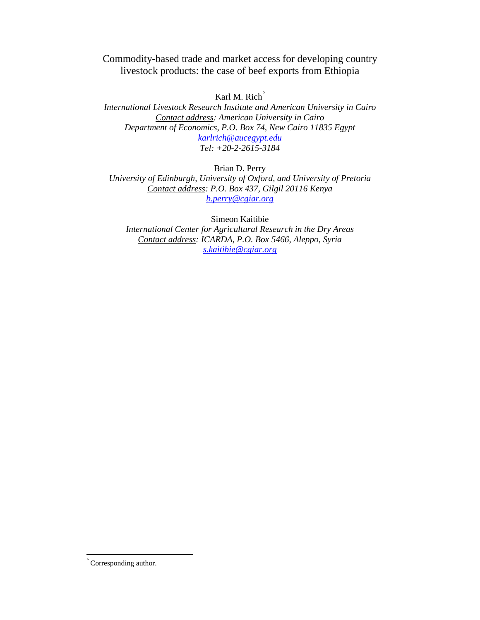Commodity-based trade and market access for developing country livestock products: the case of beef exports from Ethiopia

Karl M. Rich<sup>°</sup>

*International Livestock Research Institute and American University in Cairo Contact address: American University in Cairo Department of Economics, P.O. Box 74, New Cairo 11835 Egypt karlrich@aucegypt.edu Tel: +20-2-2615-3184* 

Brian D. Perry *University of Edinburgh, University of Oxford, and University of Pretoria Contact address: P.O. Box 437, Gilgil 20116 Kenya b.perry@cgiar.org* 

Simeon Kaitibie *International Center for Agricultural Research in the Dry Areas Contact address: ICARDA, P.O. Box 5466, Aleppo, Syria s.kaitibie@cgiar.org*

-

<sup>°</sup> Corresponding author.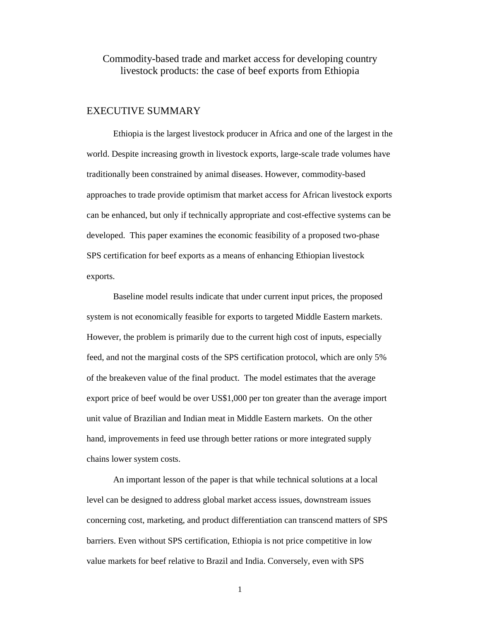Commodity-based trade and market access for developing country livestock products: the case of beef exports from Ethiopia

### EXECUTIVE SUMMARY

Ethiopia is the largest livestock producer in Africa and one of the largest in the world. Despite increasing growth in livestock exports, large-scale trade volumes have traditionally been constrained by animal diseases. However, commodity-based approaches to trade provide optimism that market access for African livestock exports can be enhanced, but only if technically appropriate and cost-effective systems can be developed. This paper examines the economic feasibility of a proposed two-phase SPS certification for beef exports as a means of enhancing Ethiopian livestock exports.

Baseline model results indicate that under current input prices, the proposed system is not economically feasible for exports to targeted Middle Eastern markets. However, the problem is primarily due to the current high cost of inputs, especially feed, and not the marginal costs of the SPS certification protocol, which are only 5% of the breakeven value of the final product. The model estimates that the average export price of beef would be over US\$1,000 per ton greater than the average import unit value of Brazilian and Indian meat in Middle Eastern markets. On the other hand, improvements in feed use through better rations or more integrated supply chains lower system costs.

An important lesson of the paper is that while technical solutions at a local level can be designed to address global market access issues, downstream issues concerning cost, marketing, and product differentiation can transcend matters of SPS barriers. Even without SPS certification, Ethiopia is not price competitive in low value markets for beef relative to Brazil and India. Conversely, even with SPS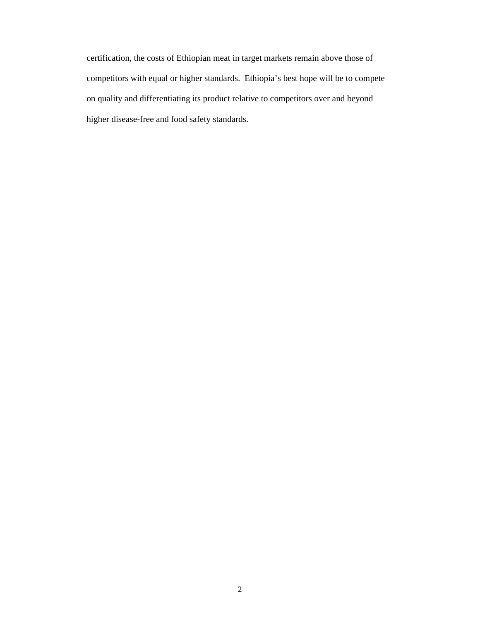certification, the costs of Ethiopian meat in target markets remain above those of competitors with equal or higher standards. Ethiopia's best hope will be to compete on quality and differentiating its product relative to competitors over and beyond higher disease-free and food safety standards.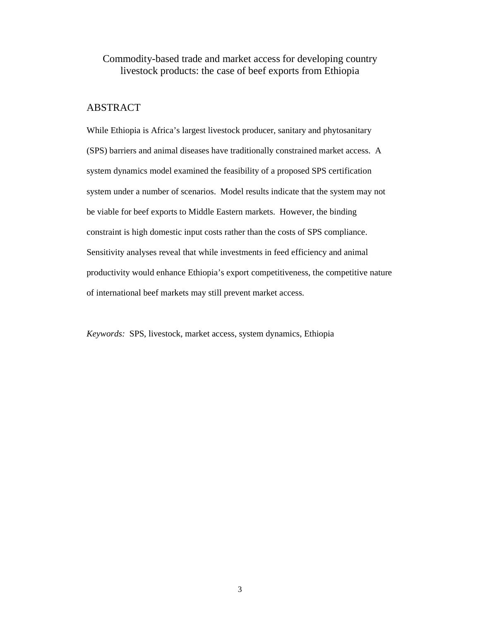# Commodity-based trade and market access for developing country livestock products: the case of beef exports from Ethiopia

# ABSTRACT

While Ethiopia is Africa's largest livestock producer, sanitary and phytosanitary (SPS) barriers and animal diseases have traditionally constrained market access. A system dynamics model examined the feasibility of a proposed SPS certification system under a number of scenarios. Model results indicate that the system may not be viable for beef exports to Middle Eastern markets. However, the binding constraint is high domestic input costs rather than the costs of SPS compliance. Sensitivity analyses reveal that while investments in feed efficiency and animal productivity would enhance Ethiopia's export competitiveness, the competitive nature of international beef markets may still prevent market access.

*Keywords:* SPS, livestock, market access, system dynamics, Ethiopia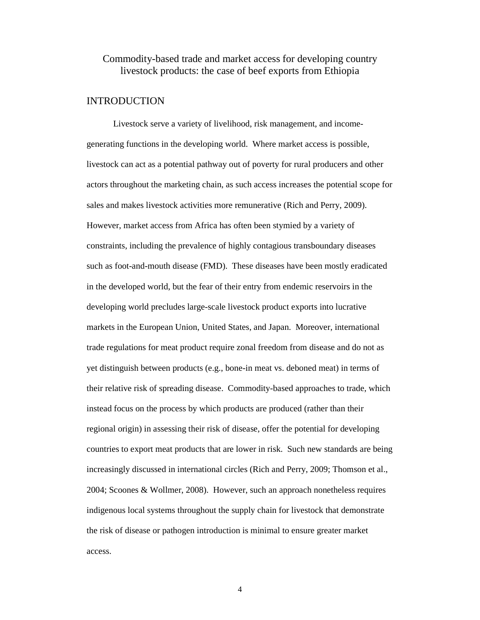# Commodity-based trade and market access for developing country livestock products: the case of beef exports from Ethiopia

# INTRODUCTION

Livestock serve a variety of livelihood, risk management, and incomegenerating functions in the developing world. Where market access is possible, livestock can act as a potential pathway out of poverty for rural producers and other actors throughout the marketing chain, as such access increases the potential scope for sales and makes livestock activities more remunerative (Rich and Perry, 2009). However, market access from Africa has often been stymied by a variety of constraints, including the prevalence of highly contagious transboundary diseases such as foot-and-mouth disease (FMD). These diseases have been mostly eradicated in the developed world, but the fear of their entry from endemic reservoirs in the developing world precludes large-scale livestock product exports into lucrative markets in the European Union, United States, and Japan. Moreover, international trade regulations for meat product require zonal freedom from disease and do not as yet distinguish between products (e.g., bone-in meat vs. deboned meat) in terms of their relative risk of spreading disease. Commodity-based approaches to trade, which instead focus on the process by which products are produced (rather than their regional origin) in assessing their risk of disease, offer the potential for developing countries to export meat products that are lower in risk. Such new standards are being increasingly discussed in international circles (Rich and Perry, 2009; Thomson et al., 2004; Scoones & Wollmer, 2008). However, such an approach nonetheless requires indigenous local systems throughout the supply chain for livestock that demonstrate the risk of disease or pathogen introduction is minimal to ensure greater market access.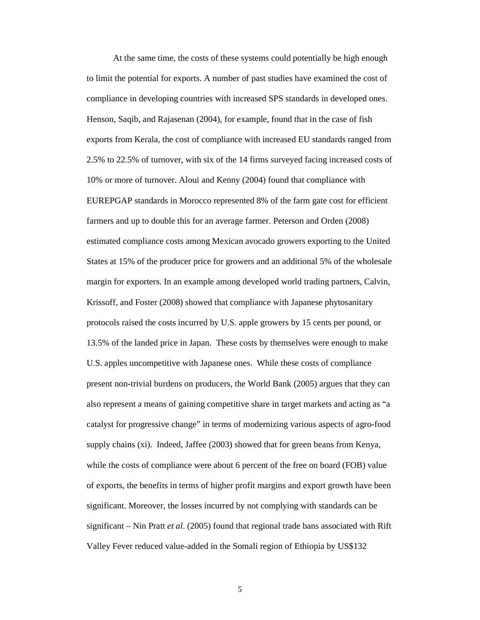At the same time, the costs of these systems could potentially be high enough to limit the potential for exports. A number of past studies have examined the cost of compliance in developing countries with increased SPS standards in developed ones. Henson, Saqib, and Rajasenan (2004), for example, found that in the case of fish exports from Kerala, the cost of compliance with increased EU standards ranged from 2.5% to 22.5% of turnover, with six of the 14 firms surveyed facing increased costs of 10% or more of turnover. Aloui and Kenny (2004) found that compliance with EUREPGAP standards in Morocco represented 8% of the farm gate cost for efficient farmers and up to double this for an average farmer. Peterson and Orden (2008) estimated compliance costs among Mexican avocado growers exporting to the United States at 15% of the producer price for growers and an additional 5% of the wholesale margin for exporters. In an example among developed world trading partners, Calvin, Krissoff, and Foster (2008) showed that compliance with Japanese phytosanitary protocols raised the costs incurred by U.S. apple growers by 15 cents per pound, or 13.5% of the landed price in Japan. These costs by themselves were enough to make U.S. apples uncompetitive with Japanese ones. While these costs of compliance present non-trivial burdens on producers, the World Bank (2005) argues that they can also represent a means of gaining competitive share in target markets and acting as "a catalyst for progressive change" in terms of modernizing various aspects of agro-food supply chains (xi). Indeed, Jaffee (2003) showed that for green beans from Kenya, while the costs of compliance were about 6 percent of the free on board (FOB) value of exports, the benefits in terms of higher profit margins and export growth have been significant. Moreover, the losses incurred by not complying with standards can be significant – Nin Pratt *et al*. (2005) found that regional trade bans associated with Rift Valley Fever reduced value-added in the Somali region of Ethiopia by US\$132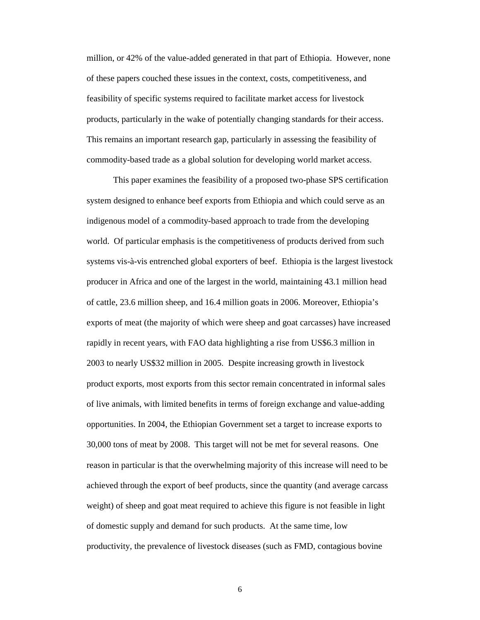million, or 42% of the value-added generated in that part of Ethiopia. However, none of these papers couched these issues in the context, costs, competitiveness, and feasibility of specific systems required to facilitate market access for livestock products, particularly in the wake of potentially changing standards for their access. This remains an important research gap, particularly in assessing the feasibility of commodity-based trade as a global solution for developing world market access.

This paper examines the feasibility of a proposed two-phase SPS certification system designed to enhance beef exports from Ethiopia and which could serve as an indigenous model of a commodity-based approach to trade from the developing world. Of particular emphasis is the competitiveness of products derived from such systems vis-à-vis entrenched global exporters of beef. Ethiopia is the largest livestock producer in Africa and one of the largest in the world, maintaining 43.1 million head of cattle, 23.6 million sheep, and 16.4 million goats in 2006. Moreover, Ethiopia's exports of meat (the majority of which were sheep and goat carcasses) have increased rapidly in recent years, with FAO data highlighting a rise from US\$6.3 million in 2003 to nearly US\$32 million in 2005. Despite increasing growth in livestock product exports, most exports from this sector remain concentrated in informal sales of live animals, with limited benefits in terms of foreign exchange and value-adding opportunities. In 2004, the Ethiopian Government set a target to increase exports to 30,000 tons of meat by 2008. This target will not be met for several reasons. One reason in particular is that the overwhelming majority of this increase will need to be achieved through the export of beef products, since the quantity (and average carcass weight) of sheep and goat meat required to achieve this figure is not feasible in light of domestic supply and demand for such products. At the same time, low productivity, the prevalence of livestock diseases (such as FMD, contagious bovine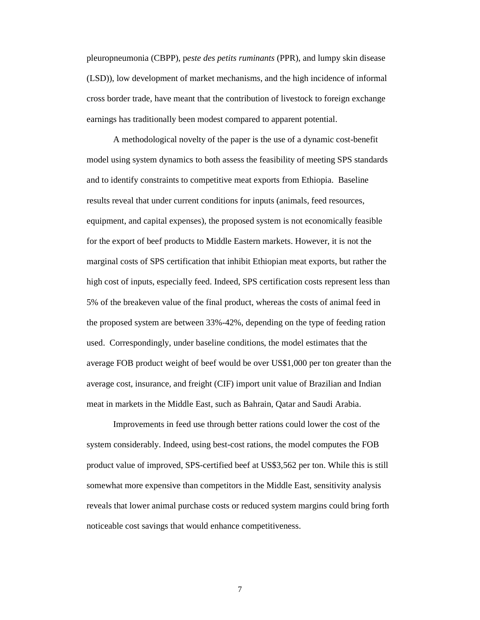pleuropneumonia (CBPP), p*este des petits ruminants* (PPR), and lumpy skin disease (LSD)), low development of market mechanisms, and the high incidence of informal cross border trade, have meant that the contribution of livestock to foreign exchange earnings has traditionally been modest compared to apparent potential.

A methodological novelty of the paper is the use of a dynamic cost-benefit model using system dynamics to both assess the feasibility of meeting SPS standards and to identify constraints to competitive meat exports from Ethiopia. Baseline results reveal that under current conditions for inputs (animals, feed resources, equipment, and capital expenses), the proposed system is not economically feasible for the export of beef products to Middle Eastern markets. However, it is not the marginal costs of SPS certification that inhibit Ethiopian meat exports, but rather the high cost of inputs, especially feed. Indeed, SPS certification costs represent less than 5% of the breakeven value of the final product, whereas the costs of animal feed in the proposed system are between 33%-42%, depending on the type of feeding ration used. Correspondingly, under baseline conditions, the model estimates that the average FOB product weight of beef would be over US\$1,000 per ton greater than the average cost, insurance, and freight (CIF) import unit value of Brazilian and Indian meat in markets in the Middle East, such as Bahrain, Qatar and Saudi Arabia.

Improvements in feed use through better rations could lower the cost of the system considerably. Indeed, using best-cost rations, the model computes the FOB product value of improved, SPS-certified beef at US\$3,562 per ton. While this is still somewhat more expensive than competitors in the Middle East, sensitivity analysis reveals that lower animal purchase costs or reduced system margins could bring forth noticeable cost savings that would enhance competitiveness.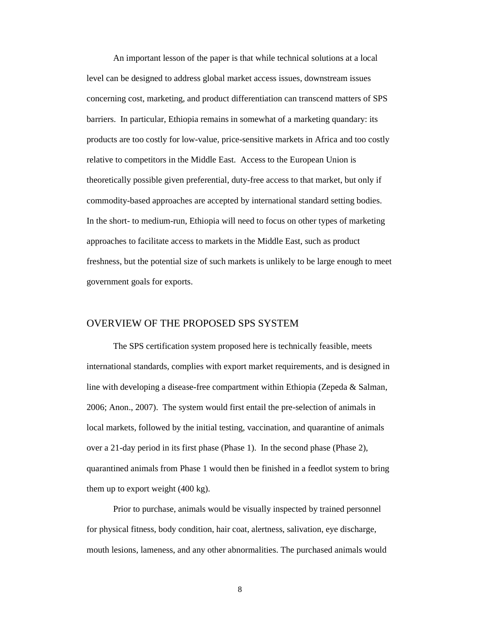An important lesson of the paper is that while technical solutions at a local level can be designed to address global market access issues, downstream issues concerning cost, marketing, and product differentiation can transcend matters of SPS barriers. In particular, Ethiopia remains in somewhat of a marketing quandary: its products are too costly for low-value, price-sensitive markets in Africa and too costly relative to competitors in the Middle East. Access to the European Union is theoretically possible given preferential, duty-free access to that market, but only if commodity-based approaches are accepted by international standard setting bodies. In the short- to medium-run, Ethiopia will need to focus on other types of marketing approaches to facilitate access to markets in the Middle East, such as product freshness, but the potential size of such markets is unlikely to be large enough to meet government goals for exports.

### OVERVIEW OF THE PROPOSED SPS SYSTEM

The SPS certification system proposed here is technically feasible, meets international standards, complies with export market requirements, and is designed in line with developing a disease-free compartment within Ethiopia (Zepeda & Salman, 2006; Anon., 2007). The system would first entail the pre-selection of animals in local markets, followed by the initial testing, vaccination, and quarantine of animals over a 21-day period in its first phase (Phase 1). In the second phase (Phase 2), quarantined animals from Phase 1 would then be finished in a feedlot system to bring them up to export weight (400 kg).

Prior to purchase, animals would be visually inspected by trained personnel for physical fitness, body condition, hair coat, alertness, salivation, eye discharge, mouth lesions, lameness, and any other abnormalities. The purchased animals would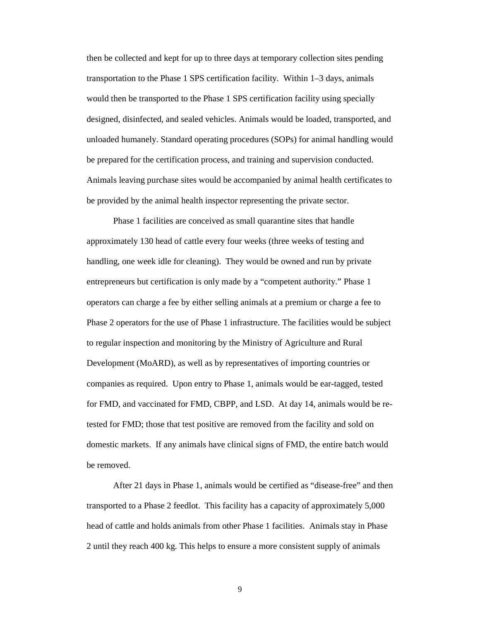then be collected and kept for up to three days at temporary collection sites pending transportation to the Phase 1 SPS certification facility. Within 1–3 days, animals would then be transported to the Phase 1 SPS certification facility using specially designed, disinfected, and sealed vehicles. Animals would be loaded, transported, and unloaded humanely. Standard operating procedures (SOPs) for animal handling would be prepared for the certification process, and training and supervision conducted. Animals leaving purchase sites would be accompanied by animal health certificates to be provided by the animal health inspector representing the private sector.

Phase 1 facilities are conceived as small quarantine sites that handle approximately 130 head of cattle every four weeks (three weeks of testing and handling, one week idle for cleaning). They would be owned and run by private entrepreneurs but certification is only made by a "competent authority." Phase 1 operators can charge a fee by either selling animals at a premium or charge a fee to Phase 2 operators for the use of Phase 1 infrastructure. The facilities would be subject to regular inspection and monitoring by the Ministry of Agriculture and Rural Development (MoARD), as well as by representatives of importing countries or companies as required. Upon entry to Phase 1, animals would be ear-tagged, tested for FMD, and vaccinated for FMD, CBPP, and LSD. At day 14, animals would be retested for FMD; those that test positive are removed from the facility and sold on domestic markets. If any animals have clinical signs of FMD, the entire batch would be removed.

After 21 days in Phase 1, animals would be certified as "disease-free" and then transported to a Phase 2 feedlot. This facility has a capacity of approximately 5,000 head of cattle and holds animals from other Phase 1 facilities. Animals stay in Phase 2 until they reach 400 kg. This helps to ensure a more consistent supply of animals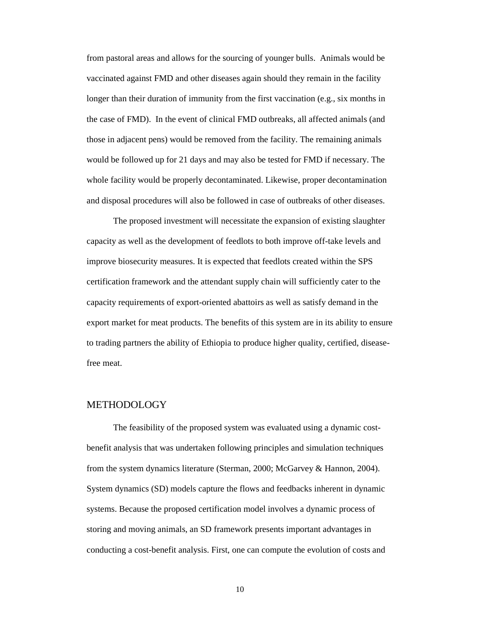from pastoral areas and allows for the sourcing of younger bulls. Animals would be vaccinated against FMD and other diseases again should they remain in the facility longer than their duration of immunity from the first vaccination (e.g., six months in the case of FMD). In the event of clinical FMD outbreaks, all affected animals (and those in adjacent pens) would be removed from the facility. The remaining animals would be followed up for 21 days and may also be tested for FMD if necessary. The whole facility would be properly decontaminated. Likewise, proper decontamination and disposal procedures will also be followed in case of outbreaks of other diseases.

The proposed investment will necessitate the expansion of existing slaughter capacity as well as the development of feedlots to both improve off-take levels and improve biosecurity measures. It is expected that feedlots created within the SPS certification framework and the attendant supply chain will sufficiently cater to the capacity requirements of export-oriented abattoirs as well as satisfy demand in the export market for meat products. The benefits of this system are in its ability to ensure to trading partners the ability of Ethiopia to produce higher quality, certified, diseasefree meat.

#### METHODOLOGY

The feasibility of the proposed system was evaluated using a dynamic costbenefit analysis that was undertaken following principles and simulation techniques from the system dynamics literature (Sterman, 2000; McGarvey & Hannon, 2004). System dynamics (SD) models capture the flows and feedbacks inherent in dynamic systems. Because the proposed certification model involves a dynamic process of storing and moving animals, an SD framework presents important advantages in conducting a cost-benefit analysis. First, one can compute the evolution of costs and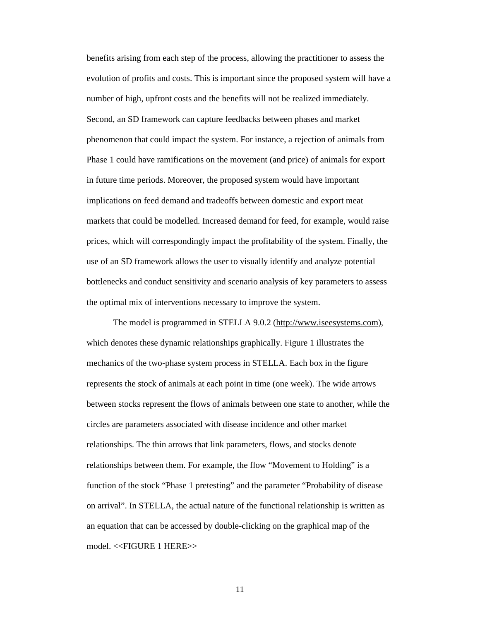benefits arising from each step of the process, allowing the practitioner to assess the evolution of profits and costs. This is important since the proposed system will have a number of high, upfront costs and the benefits will not be realized immediately. Second, an SD framework can capture feedbacks between phases and market phenomenon that could impact the system. For instance, a rejection of animals from Phase 1 could have ramifications on the movement (and price) of animals for export in future time periods. Moreover, the proposed system would have important implications on feed demand and tradeoffs between domestic and export meat markets that could be modelled. Increased demand for feed, for example, would raise prices, which will correspondingly impact the profitability of the system. Finally, the use of an SD framework allows the user to visually identify and analyze potential bottlenecks and conduct sensitivity and scenario analysis of key parameters to assess the optimal mix of interventions necessary to improve the system.

The model is programmed in STELLA 9.0.2 (http://www.iseesystems.com), which denotes these dynamic relationships graphically. Figure 1 illustrates the mechanics of the two-phase system process in STELLA. Each box in the figure represents the stock of animals at each point in time (one week). The wide arrows between stocks represent the flows of animals between one state to another, while the circles are parameters associated with disease incidence and other market relationships. The thin arrows that link parameters, flows, and stocks denote relationships between them. For example, the flow "Movement to Holding" is a function of the stock "Phase 1 pretesting" and the parameter "Probability of disease on arrival". In STELLA, the actual nature of the functional relationship is written as an equation that can be accessed by double-clicking on the graphical map of the model. <<FIGURE 1 HERE>>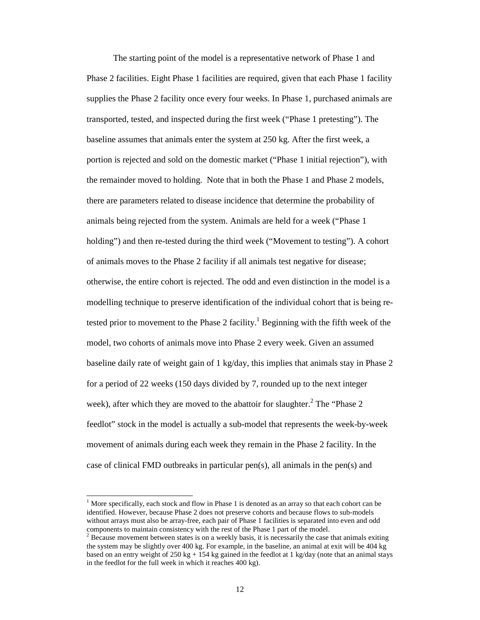The starting point of the model is a representative network of Phase 1 and Phase 2 facilities. Eight Phase 1 facilities are required, given that each Phase 1 facility supplies the Phase 2 facility once every four weeks. In Phase 1, purchased animals are transported, tested, and inspected during the first week ("Phase 1 pretesting"). The baseline assumes that animals enter the system at 250 kg. After the first week, a portion is rejected and sold on the domestic market ("Phase 1 initial rejection"), with the remainder moved to holding. Note that in both the Phase 1 and Phase 2 models, there are parameters related to disease incidence that determine the probability of animals being rejected from the system. Animals are held for a week ("Phase 1 holding") and then re-tested during the third week ("Movement to testing"). A cohort of animals moves to the Phase 2 facility if all animals test negative for disease; otherwise, the entire cohort is rejected. The odd and even distinction in the model is a modelling technique to preserve identification of the individual cohort that is being retested prior to movement to the Phase 2 facility.<sup>1</sup> Beginning with the fifth week of the model, two cohorts of animals move into Phase 2 every week. Given an assumed baseline daily rate of weight gain of 1 kg/day, this implies that animals stay in Phase 2 for a period of 22 weeks (150 days divided by 7, rounded up to the next integer week), after which they are moved to the abattoir for slaughter.<sup>2</sup> The "Phase 2 feedlot" stock in the model is actually a sub-model that represents the week-by-week movement of animals during each week they remain in the Phase 2 facility. In the case of clinical FMD outbreaks in particular pen(s), all animals in the pen(s) and

-

 $1$  More specifically, each stock and flow in Phase 1 is denoted as an array so that each cohort can be identified. However, because Phase 2 does not preserve cohorts and because flows to sub-models without arrays must also be array-free, each pair of Phase 1 facilities is separated into even and odd components to maintain consistency with the rest of the Phase 1 part of the model.

 $2^{2}$  Because movement between states is on a weekly basis, it is necessarily the case that animals exiting the system may be slightly over 400 kg. For example, in the baseline, an animal at exit will be 404 kg based on an entry weight of  $250 \text{ kg} + 154 \text{ kg}$  gained in the feedlot at 1 kg/day (note that an animal stays in the feedlot for the full week in which it reaches 400 kg).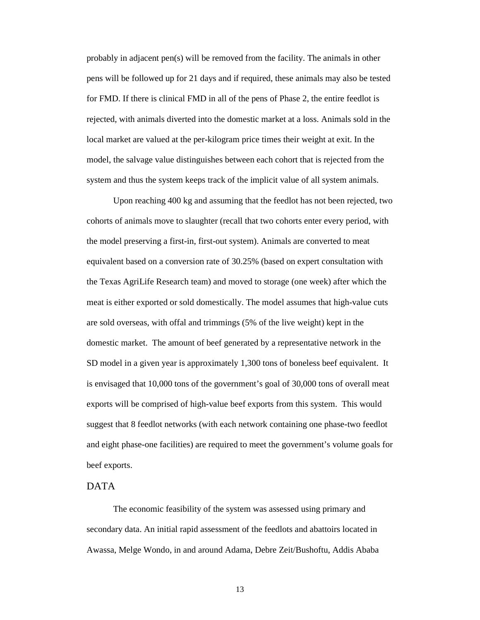probably in adjacent pen(s) will be removed from the facility. The animals in other pens will be followed up for 21 days and if required, these animals may also be tested for FMD. If there is clinical FMD in all of the pens of Phase 2, the entire feedlot is rejected, with animals diverted into the domestic market at a loss. Animals sold in the local market are valued at the per-kilogram price times their weight at exit. In the model, the salvage value distinguishes between each cohort that is rejected from the system and thus the system keeps track of the implicit value of all system animals.

Upon reaching 400 kg and assuming that the feedlot has not been rejected, two cohorts of animals move to slaughter (recall that two cohorts enter every period, with the model preserving a first-in, first-out system). Animals are converted to meat equivalent based on a conversion rate of 30.25% (based on expert consultation with the Texas AgriLife Research team) and moved to storage (one week) after which the meat is either exported or sold domestically. The model assumes that high-value cuts are sold overseas, with offal and trimmings (5% of the live weight) kept in the domestic market. The amount of beef generated by a representative network in the SD model in a given year is approximately 1,300 tons of boneless beef equivalent. It is envisaged that 10,000 tons of the government's goal of 30,000 tons of overall meat exports will be comprised of high-value beef exports from this system. This would suggest that 8 feedlot networks (with each network containing one phase-two feedlot and eight phase-one facilities) are required to meet the government's volume goals for beef exports.

# DATA

The economic feasibility of the system was assessed using primary and secondary data. An initial rapid assessment of the feedlots and abattoirs located in Awassa, Melge Wondo, in and around Adama, Debre Zeit/Bushoftu, Addis Ababa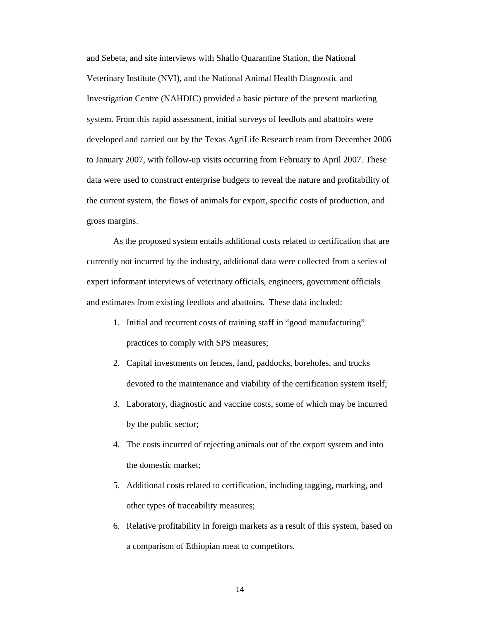and Sebeta, and site interviews with Shallo Quarantine Station, the National Veterinary Institute (NVI), and the National Animal Health Diagnostic and Investigation Centre (NAHDIC) provided a basic picture of the present marketing system. From this rapid assessment, initial surveys of feedlots and abattoirs were developed and carried out by the Texas AgriLife Research team from December 2006 to January 2007, with follow-up visits occurring from February to April 2007. These data were used to construct enterprise budgets to reveal the nature and profitability of the current system, the flows of animals for export, specific costs of production, and gross margins.

As the proposed system entails additional costs related to certification that are currently not incurred by the industry, additional data were collected from a series of expert informant interviews of veterinary officials, engineers, government officials and estimates from existing feedlots and abattoirs. These data included:

- 1. Initial and recurrent costs of training staff in "good manufacturing" practices to comply with SPS measures;
- 2. Capital investments on fences, land, paddocks, boreholes, and trucks devoted to the maintenance and viability of the certification system itself;
- 3. Laboratory, diagnostic and vaccine costs, some of which may be incurred by the public sector;
- 4. The costs incurred of rejecting animals out of the export system and into the domestic market;
- 5. Additional costs related to certification, including tagging, marking, and other types of traceability measures;
- 6. Relative profitability in foreign markets as a result of this system, based on a comparison of Ethiopian meat to competitors.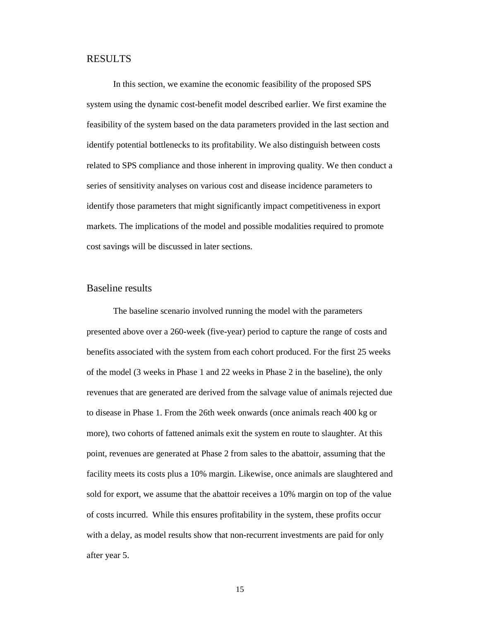#### RESULTS

In this section, we examine the economic feasibility of the proposed SPS system using the dynamic cost-benefit model described earlier. We first examine the feasibility of the system based on the data parameters provided in the last section and identify potential bottlenecks to its profitability. We also distinguish between costs related to SPS compliance and those inherent in improving quality. We then conduct a series of sensitivity analyses on various cost and disease incidence parameters to identify those parameters that might significantly impact competitiveness in export markets. The implications of the model and possible modalities required to promote cost savings will be discussed in later sections.

### Baseline results

The baseline scenario involved running the model with the parameters presented above over a 260-week (five-year) period to capture the range of costs and benefits associated with the system from each cohort produced. For the first 25 weeks of the model (3 weeks in Phase 1 and 22 weeks in Phase 2 in the baseline), the only revenues that are generated are derived from the salvage value of animals rejected due to disease in Phase 1. From the 26th week onwards (once animals reach 400 kg or more), two cohorts of fattened animals exit the system en route to slaughter. At this point, revenues are generated at Phase 2 from sales to the abattoir, assuming that the facility meets its costs plus a 10% margin. Likewise, once animals are slaughtered and sold for export, we assume that the abattoir receives a 10% margin on top of the value of costs incurred. While this ensures profitability in the system, these profits occur with a delay, as model results show that non-recurrent investments are paid for only after year 5.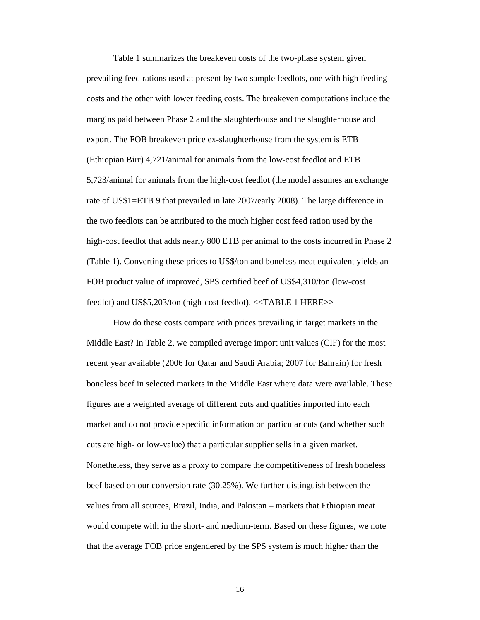Table 1 summarizes the breakeven costs of the two-phase system given prevailing feed rations used at present by two sample feedlots, one with high feeding costs and the other with lower feeding costs. The breakeven computations include the margins paid between Phase 2 and the slaughterhouse and the slaughterhouse and export. The FOB breakeven price ex-slaughterhouse from the system is ETB (Ethiopian Birr) 4,721/animal for animals from the low-cost feedlot and ETB 5,723/animal for animals from the high-cost feedlot (the model assumes an exchange rate of US\$1=ETB 9 that prevailed in late 2007/early 2008). The large difference in the two feedlots can be attributed to the much higher cost feed ration used by the high-cost feedlot that adds nearly 800 ETB per animal to the costs incurred in Phase 2 (Table 1). Converting these prices to US\$/ton and boneless meat equivalent yields an FOB product value of improved, SPS certified beef of US\$4,310/ton (low-cost feedlot) and US\$5,203/ton (high-cost feedlot). <<TABLE 1 HERE>>

How do these costs compare with prices prevailing in target markets in the Middle East? In Table 2, we compiled average import unit values (CIF) for the most recent year available (2006 for Qatar and Saudi Arabia; 2007 for Bahrain) for fresh boneless beef in selected markets in the Middle East where data were available. These figures are a weighted average of different cuts and qualities imported into each market and do not provide specific information on particular cuts (and whether such cuts are high- or low-value) that a particular supplier sells in a given market. Nonetheless, they serve as a proxy to compare the competitiveness of fresh boneless beef based on our conversion rate (30.25%). We further distinguish between the values from all sources, Brazil, India, and Pakistan – markets that Ethiopian meat would compete with in the short- and medium-term. Based on these figures, we note that the average FOB price engendered by the SPS system is much higher than the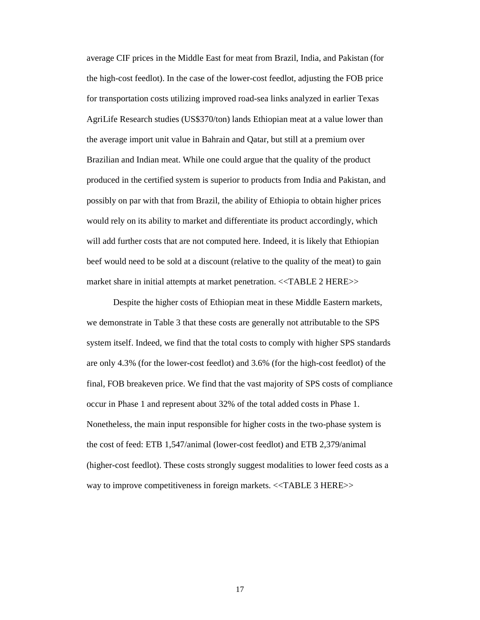average CIF prices in the Middle East for meat from Brazil, India, and Pakistan (for the high-cost feedlot). In the case of the lower-cost feedlot, adjusting the FOB price for transportation costs utilizing improved road-sea links analyzed in earlier Texas AgriLife Research studies (US\$370/ton) lands Ethiopian meat at a value lower than the average import unit value in Bahrain and Qatar, but still at a premium over Brazilian and Indian meat. While one could argue that the quality of the product produced in the certified system is superior to products from India and Pakistan, and possibly on par with that from Brazil, the ability of Ethiopia to obtain higher prices would rely on its ability to market and differentiate its product accordingly, which will add further costs that are not computed here. Indeed, it is likely that Ethiopian beef would need to be sold at a discount (relative to the quality of the meat) to gain market share in initial attempts at market penetration. <<TABLE 2 HERE>>

Despite the higher costs of Ethiopian meat in these Middle Eastern markets, we demonstrate in Table 3 that these costs are generally not attributable to the SPS system itself. Indeed, we find that the total costs to comply with higher SPS standards are only 4.3% (for the lower-cost feedlot) and 3.6% (for the high-cost feedlot) of the final, FOB breakeven price. We find that the vast majority of SPS costs of compliance occur in Phase 1 and represent about 32% of the total added costs in Phase 1. Nonetheless, the main input responsible for higher costs in the two-phase system is the cost of feed: ETB 1,547/animal (lower-cost feedlot) and ETB 2,379/animal (higher-cost feedlot). These costs strongly suggest modalities to lower feed costs as a way to improve competitiveness in foreign markets. <<TABLE 3 HERE>>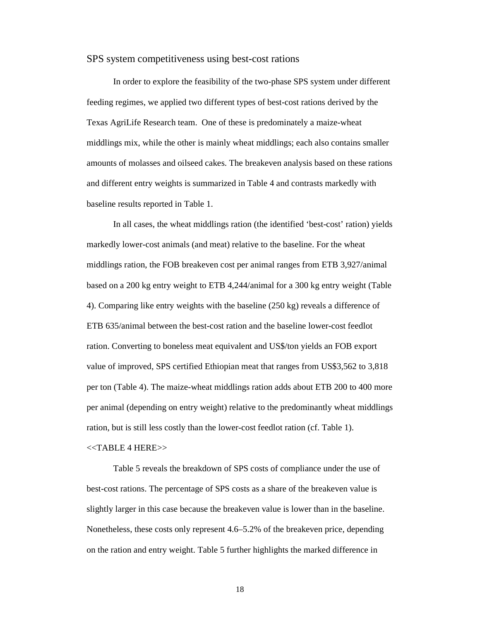#### SPS system competitiveness using best-cost rations

In order to explore the feasibility of the two-phase SPS system under different feeding regimes, we applied two different types of best-cost rations derived by the Texas AgriLife Research team. One of these is predominately a maize-wheat middlings mix, while the other is mainly wheat middlings; each also contains smaller amounts of molasses and oilseed cakes. The breakeven analysis based on these rations and different entry weights is summarized in Table 4 and contrasts markedly with baseline results reported in Table 1.

In all cases, the wheat middlings ration (the identified 'best-cost' ration) yields markedly lower-cost animals (and meat) relative to the baseline. For the wheat middlings ration, the FOB breakeven cost per animal ranges from ETB 3,927/animal based on a 200 kg entry weight to ETB 4,244/animal for a 300 kg entry weight (Table 4). Comparing like entry weights with the baseline (250 kg) reveals a difference of ETB 635/animal between the best-cost ration and the baseline lower-cost feedlot ration. Converting to boneless meat equivalent and US\$/ton yields an FOB export value of improved, SPS certified Ethiopian meat that ranges from US\$3,562 to 3,818 per ton (Table 4). The maize-wheat middlings ration adds about ETB 200 to 400 more per animal (depending on entry weight) relative to the predominantly wheat middlings ration, but is still less costly than the lower-cost feedlot ration (cf. Table 1).

#### <<TABLE 4 HERE>>

Table 5 reveals the breakdown of SPS costs of compliance under the use of best-cost rations. The percentage of SPS costs as a share of the breakeven value is slightly larger in this case because the breakeven value is lower than in the baseline. Nonetheless, these costs only represent 4.6–5.2% of the breakeven price, depending on the ration and entry weight. Table 5 further highlights the marked difference in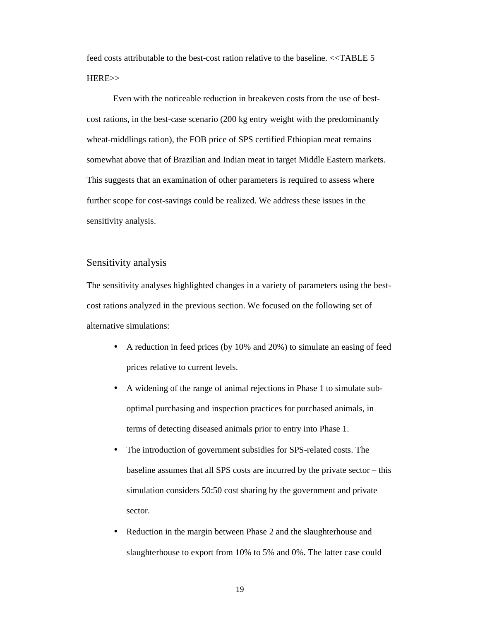feed costs attributable to the best-cost ration relative to the baseline. <<TABLE 5 HERE>>

Even with the noticeable reduction in breakeven costs from the use of bestcost rations, in the best-case scenario (200 kg entry weight with the predominantly wheat-middlings ration), the FOB price of SPS certified Ethiopian meat remains somewhat above that of Brazilian and Indian meat in target Middle Eastern markets. This suggests that an examination of other parameters is required to assess where further scope for cost-savings could be realized. We address these issues in the sensitivity analysis.

### Sensitivity analysis

The sensitivity analyses highlighted changes in a variety of parameters using the bestcost rations analyzed in the previous section. We focused on the following set of alternative simulations:

- A reduction in feed prices (by 10% and 20%) to simulate an easing of feed prices relative to current levels.
- A widening of the range of animal rejections in Phase 1 to simulate suboptimal purchasing and inspection practices for purchased animals, in terms of detecting diseased animals prior to entry into Phase 1.
- The introduction of government subsidies for SPS-related costs. The baseline assumes that all SPS costs are incurred by the private sector – this simulation considers 50:50 cost sharing by the government and private sector.
- Reduction in the margin between Phase 2 and the slaughterhouse and slaughterhouse to export from 10% to 5% and 0%. The latter case could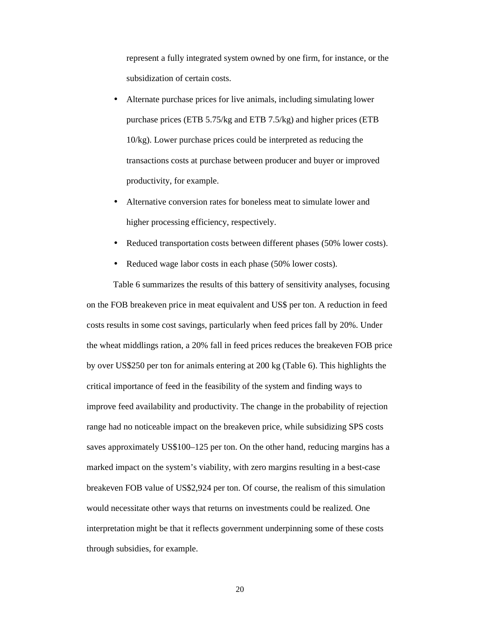represent a fully integrated system owned by one firm, for instance, or the subsidization of certain costs.

- Alternate purchase prices for live animals, including simulating lower purchase prices (ETB 5.75/kg and ETB 7.5/kg) and higher prices (ETB 10/kg). Lower purchase prices could be interpreted as reducing the transactions costs at purchase between producer and buyer or improved productivity, for example.
- Alternative conversion rates for boneless meat to simulate lower and higher processing efficiency, respectively.
- Reduced transportation costs between different phases (50% lower costs).
- Reduced wage labor costs in each phase (50% lower costs).

Table 6 summarizes the results of this battery of sensitivity analyses, focusing on the FOB breakeven price in meat equivalent and US\$ per ton. A reduction in feed costs results in some cost savings, particularly when feed prices fall by 20%. Under the wheat middlings ration, a 20% fall in feed prices reduces the breakeven FOB price by over US\$250 per ton for animals entering at 200 kg (Table 6). This highlights the critical importance of feed in the feasibility of the system and finding ways to improve feed availability and productivity. The change in the probability of rejection range had no noticeable impact on the breakeven price, while subsidizing SPS costs saves approximately US\$100–125 per ton. On the other hand, reducing margins has a marked impact on the system's viability, with zero margins resulting in a best-case breakeven FOB value of US\$2,924 per ton. Of course, the realism of this simulation would necessitate other ways that returns on investments could be realized. One interpretation might be that it reflects government underpinning some of these costs through subsidies, for example.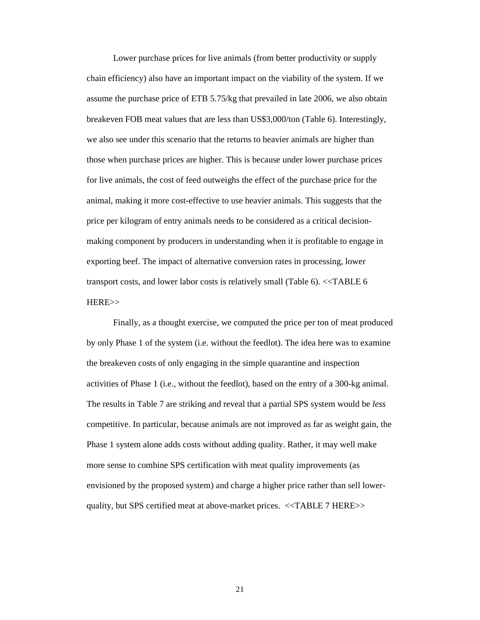Lower purchase prices for live animals (from better productivity or supply chain efficiency) also have an important impact on the viability of the system. If we assume the purchase price of ETB 5.75/kg that prevailed in late 2006, we also obtain breakeven FOB meat values that are less than US\$3,000/ton (Table 6). Interestingly, we also see under this scenario that the returns to heavier animals are higher than those when purchase prices are higher. This is because under lower purchase prices for live animals, the cost of feed outweighs the effect of the purchase price for the animal, making it more cost-effective to use heavier animals. This suggests that the price per kilogram of entry animals needs to be considered as a critical decisionmaking component by producers in understanding when it is profitable to engage in exporting beef. The impact of alternative conversion rates in processing, lower transport costs, and lower labor costs is relatively small (Table 6). <<TABLE 6 HERE>>

Finally, as a thought exercise, we computed the price per ton of meat produced by only Phase 1 of the system (i.e. without the feedlot). The idea here was to examine the breakeven costs of only engaging in the simple quarantine and inspection activities of Phase 1 (i.e., without the feedlot), based on the entry of a 300-kg animal. The results in Table 7 are striking and reveal that a partial SPS system would be *less* competitive. In particular, because animals are not improved as far as weight gain, the Phase 1 system alone adds costs without adding quality. Rather, it may well make more sense to combine SPS certification with meat quality improvements (as envisioned by the proposed system) and charge a higher price rather than sell lowerquality, but SPS certified meat at above-market prices. <<TABLE 7 HERE>>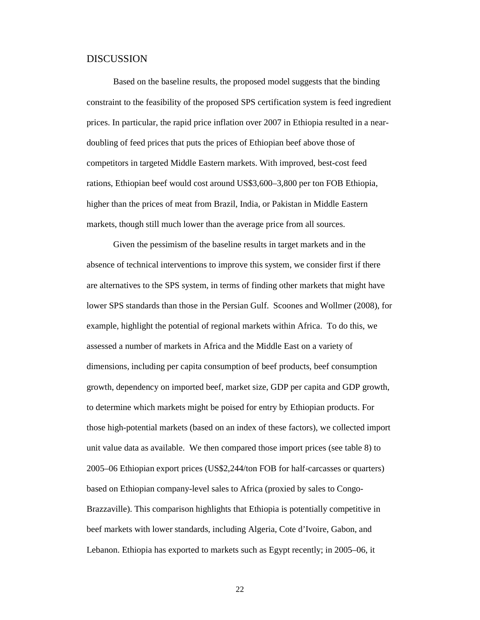#### DISCUSSION

Based on the baseline results, the proposed model suggests that the binding constraint to the feasibility of the proposed SPS certification system is feed ingredient prices. In particular, the rapid price inflation over 2007 in Ethiopia resulted in a neardoubling of feed prices that puts the prices of Ethiopian beef above those of competitors in targeted Middle Eastern markets. With improved, best-cost feed rations, Ethiopian beef would cost around US\$3,600–3,800 per ton FOB Ethiopia, higher than the prices of meat from Brazil, India, or Pakistan in Middle Eastern markets, though still much lower than the average price from all sources.

Given the pessimism of the baseline results in target markets and in the absence of technical interventions to improve this system, we consider first if there are alternatives to the SPS system, in terms of finding other markets that might have lower SPS standards than those in the Persian Gulf. Scoones and Wollmer (2008), for example, highlight the potential of regional markets within Africa. To do this, we assessed a number of markets in Africa and the Middle East on a variety of dimensions, including per capita consumption of beef products, beef consumption growth, dependency on imported beef, market size, GDP per capita and GDP growth, to determine which markets might be poised for entry by Ethiopian products. For those high-potential markets (based on an index of these factors), we collected import unit value data as available. We then compared those import prices (see table 8) to 2005–06 Ethiopian export prices (US\$2,244/ton FOB for half-carcasses or quarters) based on Ethiopian company-level sales to Africa (proxied by sales to Congo-Brazzaville). This comparison highlights that Ethiopia is potentially competitive in beef markets with lower standards, including Algeria, Cote d'Ivoire, Gabon, and Lebanon. Ethiopia has exported to markets such as Egypt recently; in 2005–06, it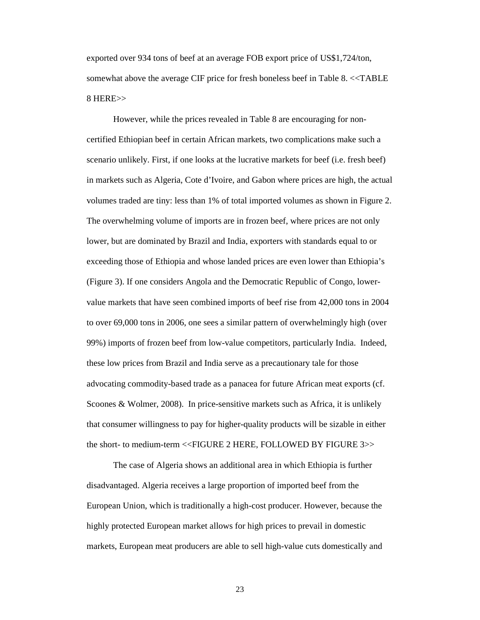exported over 934 tons of beef at an average FOB export price of US\$1,724/ton, somewhat above the average CIF price for fresh boneless beef in Table 8. <<TABLE 8 HERE>>

However, while the prices revealed in Table 8 are encouraging for noncertified Ethiopian beef in certain African markets, two complications make such a scenario unlikely. First, if one looks at the lucrative markets for beef (i.e. fresh beef) in markets such as Algeria, Cote d'Ivoire, and Gabon where prices are high, the actual volumes traded are tiny: less than 1% of total imported volumes as shown in Figure 2. The overwhelming volume of imports are in frozen beef, where prices are not only lower, but are dominated by Brazil and India, exporters with standards equal to or exceeding those of Ethiopia and whose landed prices are even lower than Ethiopia's (Figure 3). If one considers Angola and the Democratic Republic of Congo, lowervalue markets that have seen combined imports of beef rise from 42,000 tons in 2004 to over 69,000 tons in 2006, one sees a similar pattern of overwhelmingly high (over 99%) imports of frozen beef from low-value competitors, particularly India. Indeed, these low prices from Brazil and India serve as a precautionary tale for those advocating commodity-based trade as a panacea for future African meat exports (cf. Scoones & Wolmer, 2008). In price-sensitive markets such as Africa, it is unlikely that consumer willingness to pay for higher-quality products will be sizable in either the short- to medium-term <<FIGURE 2 HERE, FOLLOWED BY FIGURE 3>>

The case of Algeria shows an additional area in which Ethiopia is further disadvantaged. Algeria receives a large proportion of imported beef from the European Union, which is traditionally a high-cost producer. However, because the highly protected European market allows for high prices to prevail in domestic markets, European meat producers are able to sell high-value cuts domestically and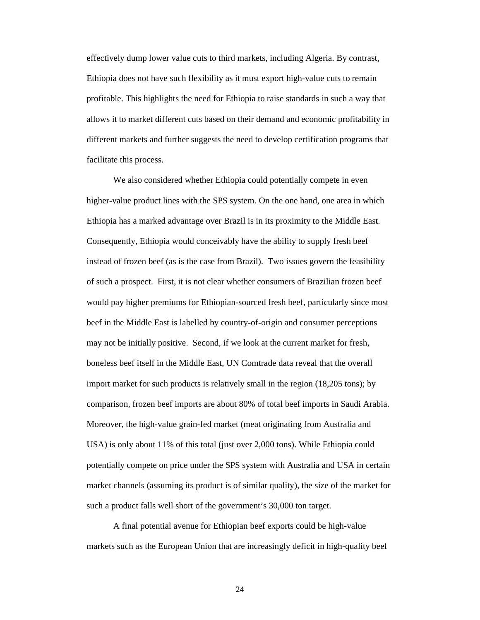effectively dump lower value cuts to third markets, including Algeria. By contrast, Ethiopia does not have such flexibility as it must export high-value cuts to remain profitable. This highlights the need for Ethiopia to raise standards in such a way that allows it to market different cuts based on their demand and economic profitability in different markets and further suggests the need to develop certification programs that facilitate this process.

We also considered whether Ethiopia could potentially compete in even higher-value product lines with the SPS system. On the one hand, one area in which Ethiopia has a marked advantage over Brazil is in its proximity to the Middle East. Consequently, Ethiopia would conceivably have the ability to supply fresh beef instead of frozen beef (as is the case from Brazil). Two issues govern the feasibility of such a prospect. First, it is not clear whether consumers of Brazilian frozen beef would pay higher premiums for Ethiopian-sourced fresh beef, particularly since most beef in the Middle East is labelled by country-of-origin and consumer perceptions may not be initially positive. Second, if we look at the current market for fresh, boneless beef itself in the Middle East, UN Comtrade data reveal that the overall import market for such products is relatively small in the region (18,205 tons); by comparison, frozen beef imports are about 80% of total beef imports in Saudi Arabia. Moreover, the high-value grain-fed market (meat originating from Australia and USA) is only about 11% of this total (just over 2,000 tons). While Ethiopia could potentially compete on price under the SPS system with Australia and USA in certain market channels (assuming its product is of similar quality), the size of the market for such a product falls well short of the government's 30,000 ton target.

A final potential avenue for Ethiopian beef exports could be high-value markets such as the European Union that are increasingly deficit in high-quality beef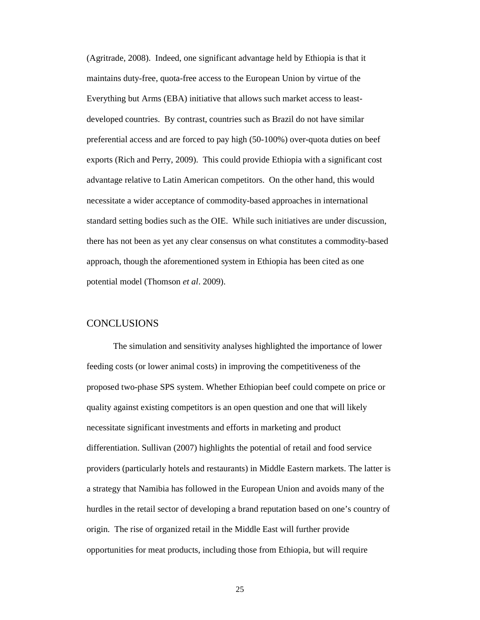(Agritrade, 2008). Indeed, one significant advantage held by Ethiopia is that it maintains duty-free, quota-free access to the European Union by virtue of the Everything but Arms (EBA) initiative that allows such market access to leastdeveloped countries. By contrast, countries such as Brazil do not have similar preferential access and are forced to pay high (50-100%) over-quota duties on beef exports (Rich and Perry, 2009). This could provide Ethiopia with a significant cost advantage relative to Latin American competitors. On the other hand, this would necessitate a wider acceptance of commodity-based approaches in international standard setting bodies such as the OIE. While such initiatives are under discussion, there has not been as yet any clear consensus on what constitutes a commodity-based approach, though the aforementioned system in Ethiopia has been cited as one potential model (Thomson *et al*. 2009).

# **CONCLUSIONS**

The simulation and sensitivity analyses highlighted the importance of lower feeding costs (or lower animal costs) in improving the competitiveness of the proposed two-phase SPS system. Whether Ethiopian beef could compete on price or quality against existing competitors is an open question and one that will likely necessitate significant investments and efforts in marketing and product differentiation. Sullivan (2007) highlights the potential of retail and food service providers (particularly hotels and restaurants) in Middle Eastern markets. The latter is a strategy that Namibia has followed in the European Union and avoids many of the hurdles in the retail sector of developing a brand reputation based on one's country of origin. The rise of organized retail in the Middle East will further provide opportunities for meat products, including those from Ethiopia, but will require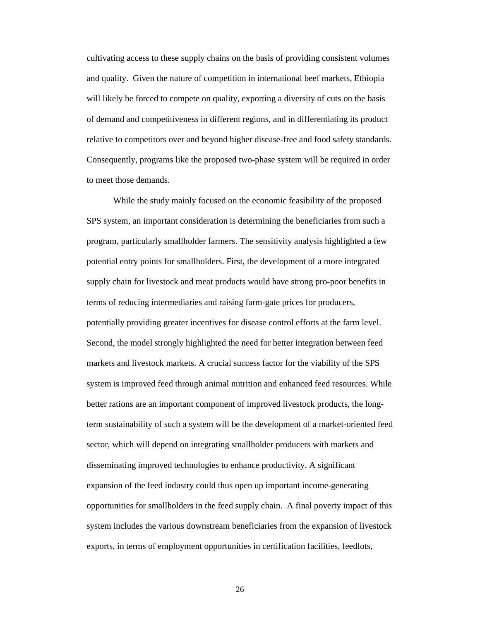cultivating access to these supply chains on the basis of providing consistent volumes and quality. Given the nature of competition in international beef markets, Ethiopia will likely be forced to compete on quality, exporting a diversity of cuts on the basis of demand and competitiveness in different regions, and in differentiating its product relative to competitors over and beyond higher disease-free and food safety standards. Consequently, programs like the proposed two-phase system will be required in order to meet those demands.

While the study mainly focused on the economic feasibility of the proposed SPS system, an important consideration is determining the beneficiaries from such a program, particularly smallholder farmers. The sensitivity analysis highlighted a few potential entry points for smallholders. First, the development of a more integrated supply chain for livestock and meat products would have strong pro-poor benefits in terms of reducing intermediaries and raising farm-gate prices for producers, potentially providing greater incentives for disease control efforts at the farm level. Second, the model strongly highlighted the need for better integration between feed markets and livestock markets. A crucial success factor for the viability of the SPS system is improved feed through animal nutrition and enhanced feed resources. While better rations are an important component of improved livestock products, the longterm sustainability of such a system will be the development of a market-oriented feed sector, which will depend on integrating smallholder producers with markets and disseminating improved technologies to enhance productivity. A significant expansion of the feed industry could thus open up important income-generating opportunities for smallholders in the feed supply chain. A final poverty impact of this system includes the various downstream beneficiaries from the expansion of livestock exports, in terms of employment opportunities in certification facilities, feedlots,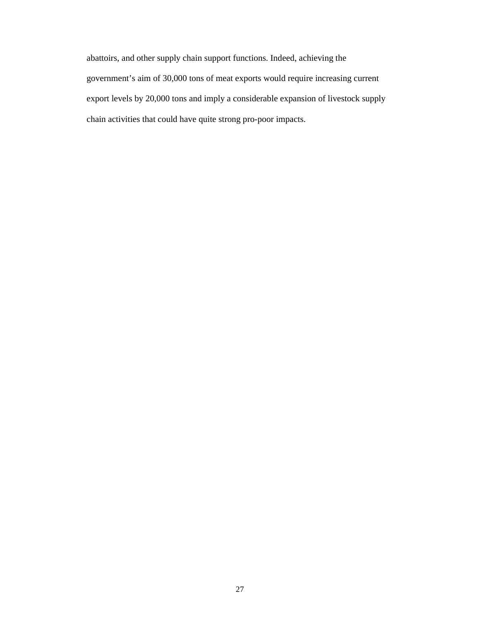abattoirs, and other supply chain support functions. Indeed, achieving the government's aim of 30,000 tons of meat exports would require increasing current export levels by 20,000 tons and imply a considerable expansion of livestock supply chain activities that could have quite strong pro-poor impacts.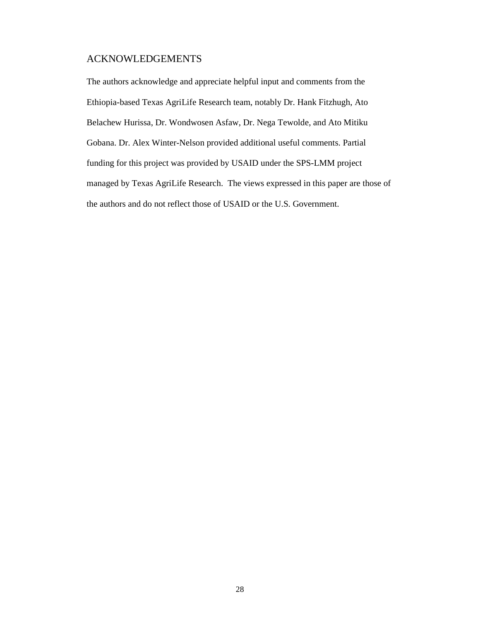### ACKNOWLEDGEMENTS

The authors acknowledge and appreciate helpful input and comments from the Ethiopia-based Texas AgriLife Research team, notably Dr. Hank Fitzhugh, Ato Belachew Hurissa, Dr. Wondwosen Asfaw, Dr. Nega Tewolde, and Ato Mitiku Gobana. Dr. Alex Winter-Nelson provided additional useful comments. Partial funding for this project was provided by USAID under the SPS-LMM project managed by Texas AgriLife Research. The views expressed in this paper are those of the authors and do not reflect those of USAID or the U.S. Government.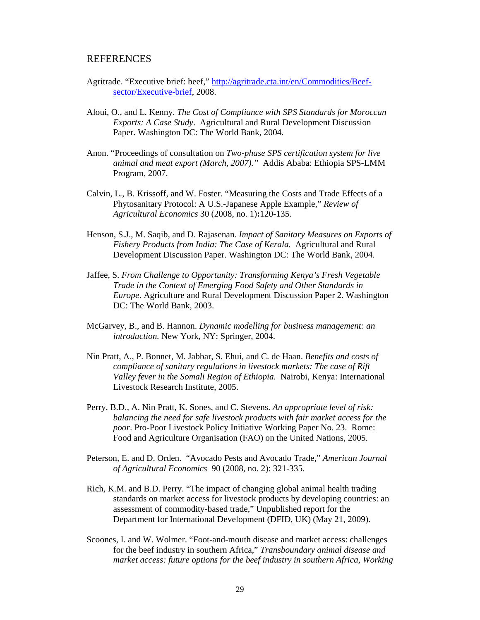### REFERENCES

- Agritrade. "Executive brief: beef," http://agritrade.cta.int/en/Commodities/Beefsector/Executive-brief, 2008.
- Aloui, O., and L. Kenny. *The Cost of Compliance with SPS Standards for Moroccan Exports: A Case Study*. Agricultural and Rural Development Discussion Paper. Washington DC: The World Bank, 2004.
- Anon. "Proceedings of consultation on *Two-phase SPS certification system for live animal and meat export (March, 2007)."* Addis Ababa: Ethiopia SPS-LMM Program, 2007.
- Calvin, L., B. Krissoff, and W. Foster. "Measuring the Costs and Trade Effects of a Phytosanitary Protocol: A U.S.-Japanese Apple Example," *Review of Agricultural Economics* 30 (2008, no. 1)**:**120-135.
- Henson, S.J., M. Saqib, and D. Rajasenan. *Impact of Sanitary Measures on Exports of Fishery Products from India: The Case of Kerala.* Agricultural and Rural Development Discussion Paper. Washington DC: The World Bank, 2004.
- Jaffee, S. *From Challenge to Opportunity: Transforming Kenya's Fresh Vegetable Trade in the Context of Emerging Food Safety and Other Standards in Europe*. Agriculture and Rural Development Discussion Paper 2. Washington DC: The World Bank, 2003.
- McGarvey, B., and B. Hannon. *Dynamic modelling for business management: an introduction.* New York, NY: Springer, 2004.
- Nin Pratt, A., P. Bonnet, M. Jabbar, S. Ehui, and C. de Haan. *Benefits and costs of compliance of sanitary regulations in livestock markets: The case of Rift Valley fever in the Somali Region of Ethiopia.* Nairobi, Kenya: International Livestock Research Institute, 2005.
- Perry, B.D., A. Nin Pratt, K. Sones, and C. Stevens. *An appropriate level of risk: balancing the need for safe livestock products with fair market access for the poor*. Pro-Poor Livestock Policy Initiative Working Paper No. 23. Rome: Food and Agriculture Organisation (FAO) on the United Nations, 2005.
- Peterson, E. and D. Orden. "Avocado Pests and Avocado Trade," *American Journal of Agricultural Economics* 90 (2008, no. 2): 321-335.
- Rich, K.M. and B.D. Perry. "The impact of changing global animal health trading standards on market access for livestock products by developing countries: an assessment of commodity-based trade," Unpublished report for the Department for International Development (DFID, UK) (May 21, 2009).
- Scoones, I. and W. Wolmer. "Foot-and-mouth disease and market access: challenges for the beef industry in southern Africa," *Transboundary animal disease and market access: future options for the beef industry in southern Africa, Working*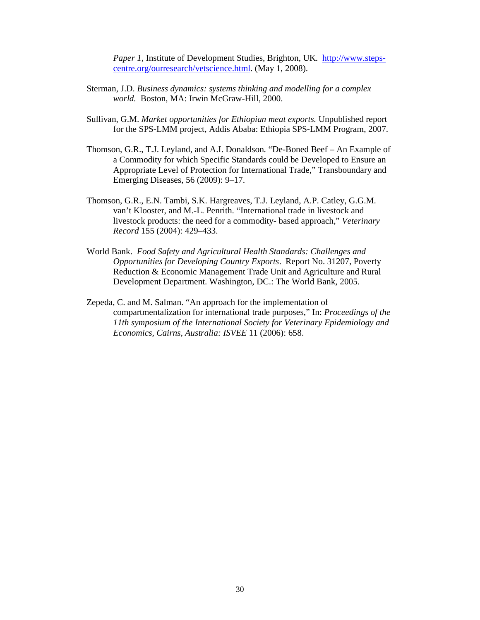*Paper 1, Institute of Development Studies, Brighton, UK. http://www.steps*centre.org/ourresearch/vetscience.html. (May 1, 2008).

- Sterman, J.D. *Business dynamics: systems thinking and modelling for a complex world.* Boston, MA: Irwin McGraw-Hill, 2000.
- Sullivan, G.M. *Market opportunities for Ethiopian meat exports.* Unpublished report for the SPS-LMM project, Addis Ababa: Ethiopia SPS-LMM Program, 2007.
- Thomson, G.R., T.J. Leyland, and A.I. Donaldson. "De-Boned Beef An Example of a Commodity for which Specific Standards could be Developed to Ensure an Appropriate Level of Protection for International Trade," Transboundary and Emerging Diseases, 56 (2009): 9–17.
- Thomson, G.R., E.N. Tambi, S.K. Hargreaves, T.J. Leyland, A.P. Catley, G.G.M. van't Klooster, and M.-L. Penrith. "International trade in livestock and livestock products: the need for a commodity- based approach," *Veterinary Record* 155 (2004): 429–433.
- World Bank. *Food Safety and Agricultural Health Standards: Challenges and Opportunities for Developing Country Exports*. Report No. 31207, Poverty Reduction & Economic Management Trade Unit and Agriculture and Rural Development Department. Washington, DC.: The World Bank, 2005.
- Zepeda, C. and M. Salman. "An approach for the implementation of compartmentalization for international trade purposes," In: *Proceedings of the 11th symposium of the International Society for Veterinary Epidemiology and Economics, Cairns, Australia: ISVEE* 11 (2006): 658.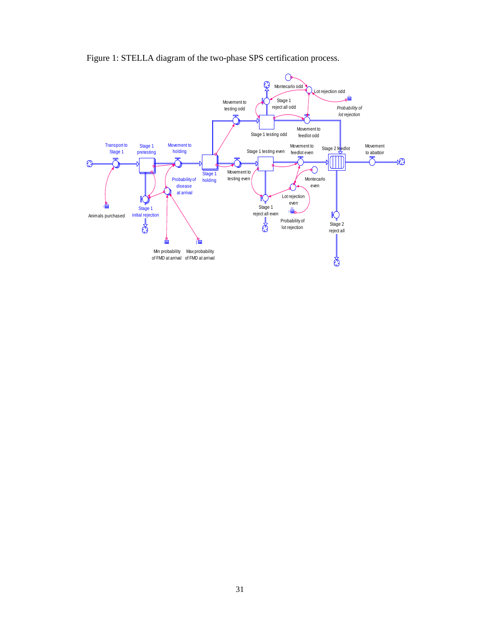

Figure 1: STELLA diagram of the two-phase SPS certification process.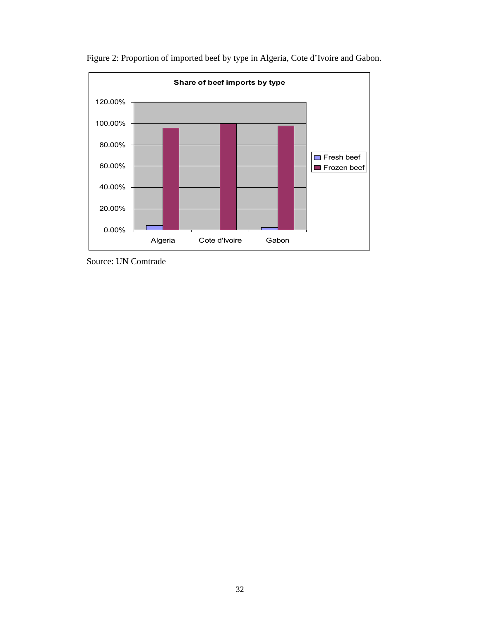

Figure 2: Proportion of imported beef by type in Algeria, Cote d'Ivoire and Gabon.

Source: UN Comtrade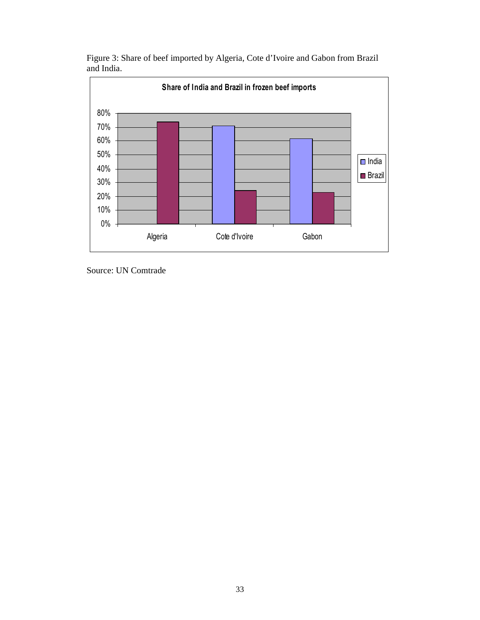

Figure 3: Share of beef imported by Algeria, Cote d'Ivoire and Gabon from Brazil and India.

Source: UN Comtrade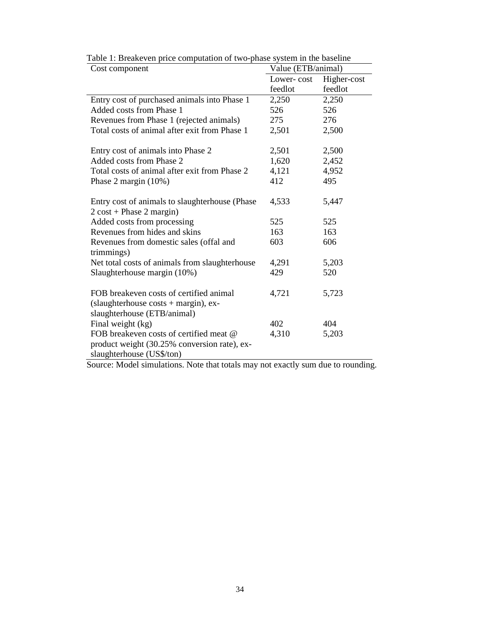| Cost component                                  | Value (ETB/animal) |             |
|-------------------------------------------------|--------------------|-------------|
|                                                 | Lower-cost         | Higher-cost |
|                                                 | feedlot            | feedlot     |
| Entry cost of purchased animals into Phase 1    | 2,250              | 2,250       |
| Added costs from Phase 1                        | 526                | 526         |
| Revenues from Phase 1 (rejected animals)        | 275                | 276         |
| Total costs of animal after exit from Phase 1   | 2,501              | 2,500       |
|                                                 |                    |             |
| Entry cost of animals into Phase 2              | 2,501              | 2,500       |
| Added costs from Phase 2                        | 1,620              | 2,452       |
| Total costs of animal after exit from Phase 2   | 4,121              | 4,952       |
| Phase 2 margin $(10%)$                          | 412                | 495         |
|                                                 |                    |             |
| Entry cost of animals to slaughterhouse (Phase) | 4,533              | 5,447       |
| $2 \cos t$ + Phase 2 margin)                    |                    |             |
| Added costs from processing                     | 525                | 525         |
| Revenues from hides and skins                   | 163                | 163         |
| Revenues from domestic sales (offal and         | 603                | 606         |
| trimmings)                                      |                    |             |
| Net total costs of animals from slaughterhouse  | 4,291              | 5,203       |
| Slaughterhouse margin (10%)                     | 429                | 520         |
|                                                 |                    |             |
| FOB breakeven costs of certified animal         | 4,721              | 5,723       |
| (slaughterhouse $costs + margin$ ), ex-         |                    |             |
| slaughterhouse (ETB/animal)                     |                    |             |
| Final weight (kg)                               | 402                | 404         |
| FOB breakeven costs of certified meat @         | 4,310              | 5,203       |
| product weight (30.25% conversion rate), ex-    |                    |             |
| slaughterhouse (US\$/ton)                       |                    |             |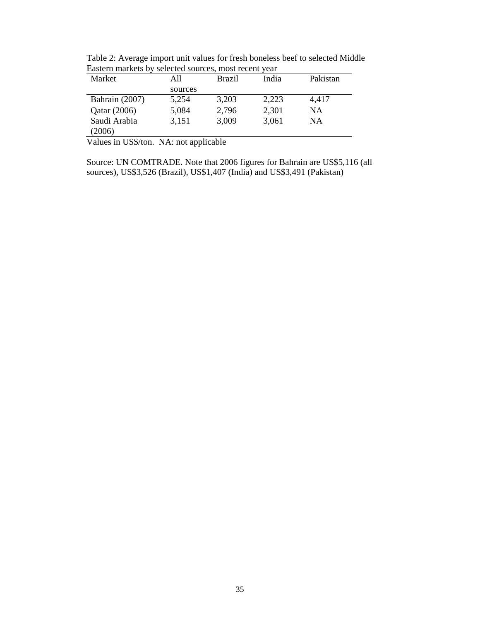| Market                                                                                 | All     | <b>Brazil</b> | India | Pakistan |
|----------------------------------------------------------------------------------------|---------|---------------|-------|----------|
|                                                                                        | sources |               |       |          |
| Bahrain (2007)                                                                         | 5,254   | 3,203         | 2,223 | 4,417    |
| Qatar (2006)                                                                           | 5,084   | 2,796         | 2,301 | NΑ       |
| Saudi Arabia                                                                           | 3,151   | 3,009         | 3,061 | NA       |
| (2006)                                                                                 |         |               |       |          |
| $\mathbf{V}_{\alpha}$ luga in $\mathbf{H}^{(n)}$ ton $\mathbf{M}^{(n)}$ not emplicable |         |               |       |          |

Table 2: Average import unit values for fresh boneless beef to selected Middle Eastern markets by selected sources, most recent year

Values in US\$/ton. NA: not applicable

Source: UN COMTRADE. Note that 2006 figures for Bahrain are US\$5,116 (all sources), US\$3,526 (Brazil), US\$1,407 (India) and US\$3,491 (Pakistan)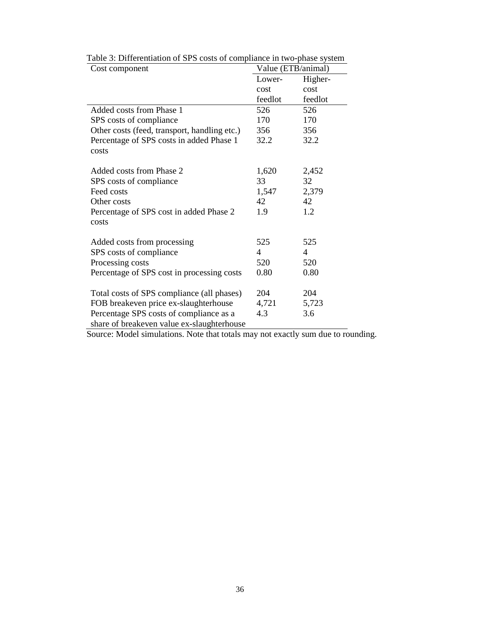| Cost component                               | Value (ETB/animal) |                |  |  |
|----------------------------------------------|--------------------|----------------|--|--|
|                                              | Lower-             | Higher-        |  |  |
|                                              | cost               | cost           |  |  |
|                                              | feedlot            | feedlot        |  |  |
| Added costs from Phase 1                     | 526                | 526            |  |  |
| SPS costs of compliance                      | 170                | 170            |  |  |
| Other costs (feed, transport, handling etc.) | 356                | 356            |  |  |
| Percentage of SPS costs in added Phase 1     | 32.2               | 32.2           |  |  |
| costs                                        |                    |                |  |  |
| Added costs from Phase 2                     | 1,620              | 2,452          |  |  |
| SPS costs of compliance                      | 33                 | 32             |  |  |
| Feed costs                                   | 1,547              | 2,379          |  |  |
| Other costs                                  | 42                 | 42             |  |  |
| Percentage of SPS cost in added Phase 2      | 1.9                | 1.2            |  |  |
| costs                                        |                    |                |  |  |
|                                              |                    |                |  |  |
| Added costs from processing                  | 525                | 525            |  |  |
| SPS costs of compliance                      | 4                  | $\overline{4}$ |  |  |
| Processing costs                             | 520                | 520            |  |  |
| Percentage of SPS cost in processing costs   | 0.80               | 0.80           |  |  |
|                                              |                    |                |  |  |
| Total costs of SPS compliance (all phases)   | 204                | 204            |  |  |
| FOB breakeven price ex-slaughterhouse        | 4,721              | 5,723          |  |  |
| Percentage SPS costs of compliance as a      | 4.3                | 3.6            |  |  |
| share of breakeven value ex-slaughterhouse   |                    |                |  |  |

Table 3: Differentiation of SPS costs of compliance in two-phase system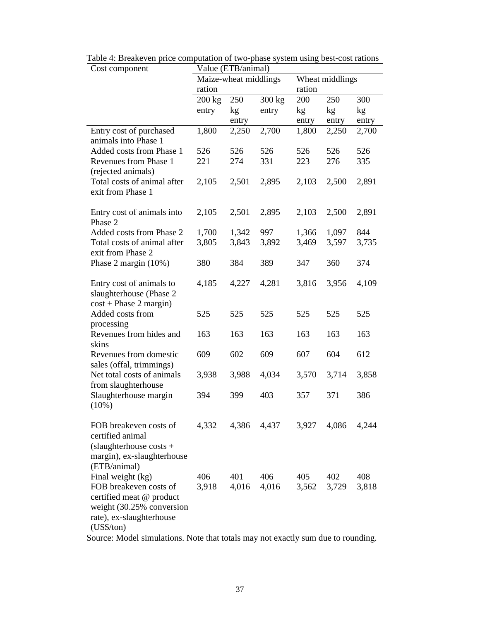| Cost component                                      | Value (ETB/animal)    |       |                  |                 |       |       |
|-----------------------------------------------------|-----------------------|-------|------------------|-----------------|-------|-------|
|                                                     | Maize-wheat middlings |       |                  | Wheat middlings |       |       |
|                                                     | ration                |       | ration           |                 |       |       |
|                                                     | $200 \text{ kg}$      | 250   | $300 \text{ kg}$ | 200             | 250   | 300   |
|                                                     | entry                 | kg    | entry            | kg              | kg    | kg    |
|                                                     |                       | entry |                  | entry           | entry | entry |
| Entry cost of purchased                             | 1,800                 | 2,250 | 2,700            | 1,800           | 2,250 | 2,700 |
| animals into Phase 1                                |                       |       |                  |                 |       |       |
| Added costs from Phase 1                            | 526                   | 526   | 526              | 526             | 526   | 526   |
| Revenues from Phase 1                               | 221                   | 274   | 331              | 223             | 276   | 335   |
| (rejected animals)                                  |                       |       |                  |                 |       |       |
| Total costs of animal after                         | 2,105                 | 2,501 | 2,895            | 2,103           | 2,500 | 2,891 |
| exit from Phase 1                                   |                       |       |                  |                 |       |       |
|                                                     |                       |       |                  |                 |       |       |
| Entry cost of animals into                          | 2,105                 | 2,501 | 2,895            | 2,103           | 2,500 | 2,891 |
| Phase 2                                             |                       |       |                  |                 |       |       |
| Added costs from Phase 2                            | 1,700                 | 1,342 | 997              | 1,366           | 1,097 | 844   |
| Total costs of animal after                         | 3,805                 | 3,843 | 3,892            | 3,469           | 3,597 | 3,735 |
| exit from Phase 2                                   |                       |       |                  |                 |       |       |
| Phase 2 margin (10%)                                | 380                   | 384   | 389              | 347             | 360   | 374   |
|                                                     |                       | 4,227 | 4,281            | 3,816           |       |       |
| Entry cost of animals to<br>slaughterhouse (Phase 2 | 4,185                 |       |                  |                 | 3,956 | 4,109 |
| $cost + Phase 2 margin)$                            |                       |       |                  |                 |       |       |
| Added costs from                                    | 525                   | 525   | 525              | 525             | 525   | 525   |
| processing                                          |                       |       |                  |                 |       |       |
| Revenues from hides and                             | 163                   | 163   | 163              | 163             | 163   | 163   |
| skins                                               |                       |       |                  |                 |       |       |
| Revenues from domestic                              | 609                   | 602   | 609              | 607             | 604   | 612   |
| sales (offal, trimmings)                            |                       |       |                  |                 |       |       |
| Net total costs of animals                          | 3,938                 | 3,988 | 4,034            | 3,570           | 3,714 | 3,858 |
| from slaughterhouse                                 |                       |       |                  |                 |       |       |
| Slaughterhouse margin                               | 394                   | 399   | 403              | 357             | 371   | 386   |
| (10%)                                               |                       |       |                  |                 |       |       |
|                                                     |                       |       |                  |                 |       |       |
| FOB breakeven costs of                              | 4,332                 | 4,386 | 4,437            | 3,927           | 4,086 | 4,244 |
| certified animal                                    |                       |       |                  |                 |       |       |
| (slaughterhouse costs $+$                           |                       |       |                  |                 |       |       |
| margin), ex-slaughterhouse                          |                       |       |                  |                 |       |       |
| (ETB/animal)                                        |                       |       |                  |                 |       |       |
| Final weight (kg)                                   | 406                   | 401   | 406              | 405             | 402   | 408   |
| FOB breakeven costs of                              | 3,918                 | 4,016 | 4,016            | 3,562           | 3,729 | 3,818 |
| certified meat @ product                            |                       |       |                  |                 |       |       |
| weight (30.25% conversion                           |                       |       |                  |                 |       |       |
| rate), ex-slaughterhouse                            |                       |       |                  |                 |       |       |
| $(US\$/ton)$                                        |                       |       |                  |                 |       |       |

Table 4: Breakeven price computation of two-phase system using best-cost rations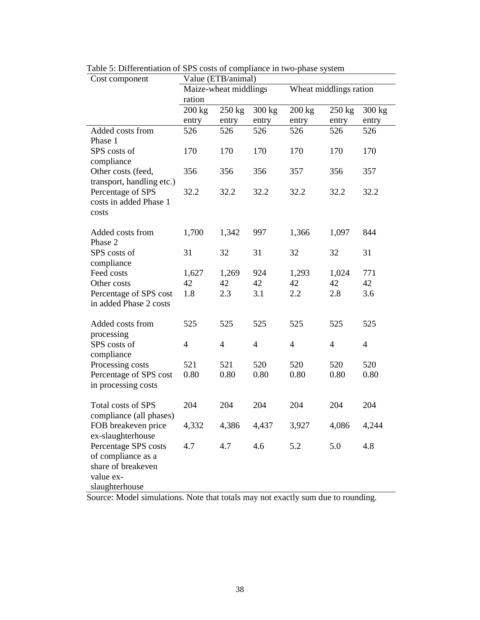| Cost component            | Value (ETB/animal)    |                  |                  |                        |                  |                |
|---------------------------|-----------------------|------------------|------------------|------------------------|------------------|----------------|
|                           | Maize-wheat middlings |                  |                  | Wheat middlings ration |                  |                |
|                           | ration                |                  |                  |                        |                  |                |
|                           | $200 \text{ kg}$      | $250 \text{ kg}$ | $300 \text{ kg}$ | $200 \text{ kg}$       | $250 \text{ kg}$ | 300 kg         |
|                           | entry                 | entry            | entry            | entry                  | entry            | entry          |
| Added costs from          | 526                   | 526              | 526              | 526                    | 526              | 526            |
| Phase 1                   |                       |                  |                  |                        |                  |                |
| SPS costs of              | 170                   | 170              | 170              | 170                    | 170              | 170            |
| compliance                |                       |                  |                  |                        |                  |                |
| Other costs (feed,        | 356                   | 356              | 356              | 357                    | 356              | 357            |
| transport, handling etc.) |                       |                  |                  |                        |                  |                |
| Percentage of SPS         | 32.2                  | 32.2             | 32.2             | 32.2                   | 32.2             | 32.2           |
| costs in added Phase 1    |                       |                  |                  |                        |                  |                |
| costs                     |                       |                  |                  |                        |                  |                |
|                           |                       |                  |                  |                        |                  |                |
| Added costs from          | 1,700                 | 1,342            | 997              | 1,366                  | 1,097            | 844            |
| Phase 2                   |                       |                  |                  |                        |                  |                |
| SPS costs of              | 31                    | 32               | 31               | 32                     | 32               | 31             |
| compliance<br>Feed costs  |                       |                  | 924              |                        |                  | 771            |
| Other costs               | 1,627<br>42           | 1,269<br>42      | 42               | 1,293<br>42            | 1,024<br>42      | 42             |
| Percentage of SPS cost    | 1.8                   | 2.3              | 3.1              | 2.2                    | 2.8              | 3.6            |
| in added Phase 2 costs    |                       |                  |                  |                        |                  |                |
|                           |                       |                  |                  |                        |                  |                |
| Added costs from          | 525                   | 525              | 525              | 525                    | 525              | 525            |
| processing                |                       |                  |                  |                        |                  |                |
| SPS costs of              | 4                     | $\overline{4}$   | $\overline{4}$   | $\overline{4}$         | $\overline{4}$   | $\overline{4}$ |
| compliance                |                       |                  |                  |                        |                  |                |
| Processing costs          | 521                   | 521              | 520              | 520                    | 520              | 520            |
| Percentage of SPS cost    | 0.80                  | 0.80             | 0.80             | 0.80                   | 0.80             | 0.80           |
| in processing costs       |                       |                  |                  |                        |                  |                |
|                           |                       |                  |                  |                        |                  |                |
| Total costs of SPS        | 204                   | 204              | 204              | 204                    | 204              | 204            |
| compliance (all phases)   |                       |                  |                  |                        |                  |                |
| FOB breakeven price       | 4,332                 | 4,386            | 4,437            | 3,927                  | 4,086            | 4,244          |
| ex-slaughterhouse         |                       |                  |                  |                        |                  |                |
| Percentage SPS costs      | 4.7                   | 4.7              | 4.6              | 5.2                    | 5.0              | 4.8            |
| of compliance as a        |                       |                  |                  |                        |                  |                |
| share of breakeven        |                       |                  |                  |                        |                  |                |
| value ex-                 |                       |                  |                  |                        |                  |                |
| slaughterhouse            |                       |                  |                  |                        |                  |                |

Table 5: Differentiation of SPS costs of compliance in two-phase system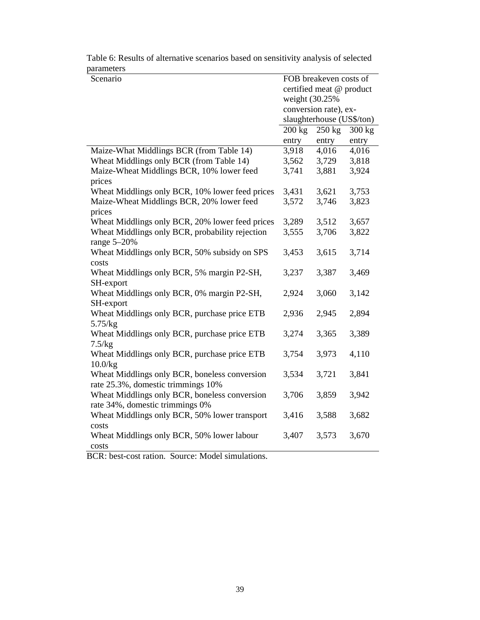| parameters                                      |                  |                           |                  |
|-------------------------------------------------|------------------|---------------------------|------------------|
| Scenario                                        |                  | FOB breakeven costs of    |                  |
|                                                 |                  | certified meat @ product  |                  |
|                                                 | weight (30.25%)  |                           |                  |
|                                                 |                  | conversion rate), ex-     |                  |
|                                                 |                  | slaughterhouse (US\$/ton) |                  |
|                                                 | $200 \text{ kg}$ | $250 \text{ kg}$          | $300 \text{ kg}$ |
|                                                 | entry            | entry                     | entry            |
| Maize-What Middlings BCR (from Table 14)        | 3,918            | 4,016                     | 4,016            |
| Wheat Middlings only BCR (from Table 14)        | 3,562            | 3,729                     | 3,818            |
| Maize-Wheat Middlings BCR, 10% lower feed       | 3,741            | 3,881                     | 3,924            |
| prices                                          |                  |                           |                  |
| Wheat Middlings only BCR, 10% lower feed prices | 3,431            | 3,621                     | 3,753            |
| Maize-Wheat Middlings BCR, 20% lower feed       | 3,572            | 3,746                     | 3,823            |
| prices                                          |                  |                           |                  |
| Wheat Middlings only BCR, 20% lower feed prices | 3,289            | 3,512                     | 3,657            |
| Wheat Middlings only BCR, probability rejection | 3,555            | 3,706                     | 3,822            |
| range $5-20%$                                   |                  |                           |                  |
| Wheat Middlings only BCR, 50% subsidy on SPS    | 3,453            | 3,615                     | 3,714            |
| costs                                           |                  |                           |                  |
| Wheat Middlings only BCR, 5% margin P2-SH,      | 3,237            | 3,387                     | 3,469            |
| SH-export                                       |                  |                           |                  |
| Wheat Middlings only BCR, 0% margin P2-SH,      | 2,924            | 3,060                     | 3,142            |
| SH-export                                       |                  |                           |                  |
| Wheat Middlings only BCR, purchase price ETB    | 2,936            | 2,945                     | 2,894            |
| 5.75/kg                                         |                  |                           |                  |
| Wheat Middlings only BCR, purchase price ETB    | 3,274            | 3,365                     | 3,389            |
| 7.5/kg                                          |                  |                           |                  |
| Wheat Middlings only BCR, purchase price ETB    | 3,754            | 3,973                     | 4,110            |
| 10.0/kg                                         |                  |                           |                  |
| Wheat Middlings only BCR, boneless conversion   | 3,534            | 3,721                     | 3,841            |
| rate 25.3%, domestic trimmings 10%              |                  |                           |                  |
| Wheat Middlings only BCR, boneless conversion   | 3,706            | 3,859                     | 3,942            |
| rate 34%, domestic trimmings 0%                 |                  |                           |                  |
|                                                 |                  |                           |                  |
| Wheat Middlings only BCR, 50% lower transport   | 3,416            | 3,588                     | 3,682            |
| costs                                           |                  |                           |                  |
| Wheat Middlings only BCR, 50% lower labour      | 3,407            | 3,573                     | 3,670            |
| costs                                           |                  |                           |                  |

Table 6: Results of alternative scenarios based on sensitivity analysis of selected parameters

BCR: best-cost ration. Source: Model simulations.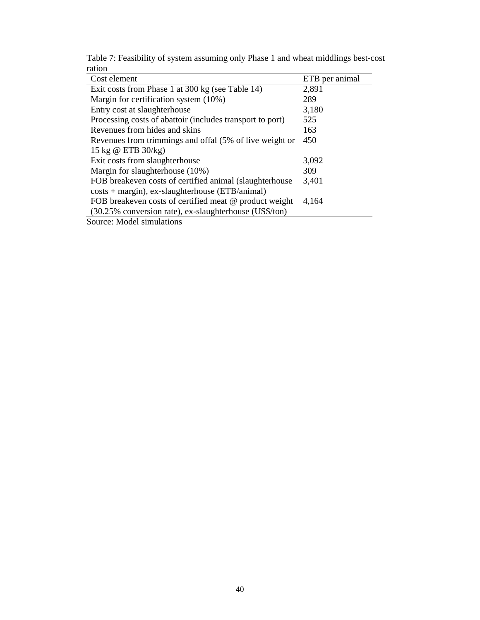| Cost element                                              | ETB per animal |
|-----------------------------------------------------------|----------------|
| Exit costs from Phase 1 at 300 kg (see Table 14)          | 2,891          |
| Margin for certification system (10%)                     | 289            |
| Entry cost at slaughterhouse                              | 3,180          |
| Processing costs of abattoir (includes transport to port) | 525            |
| Revenues from hides and skins                             | 163            |
| Revenues from trimmings and offal (5% of live weight or   | 450            |
| 15 kg @ ETB 30/kg)                                        |                |
| Exit costs from slaughterhouse                            | 3,092          |
| Margin for slaughterhouse (10%)                           | 309            |
| FOB breakeven costs of certified animal (slaughterhouse)  | 3,401          |
| $costs + margin$ , ex-slaughterhouse (ETB/animal)         |                |
| FOB breakeven costs of certified meat @ product weight    | 4,164          |
| (30.25% conversion rate), ex-slaughterhouse (US\$/ton)    |                |
| Source: Model simulations                                 |                |

Table 7: Feasibility of system assuming only Phase 1 and wheat middlings best-cost ration